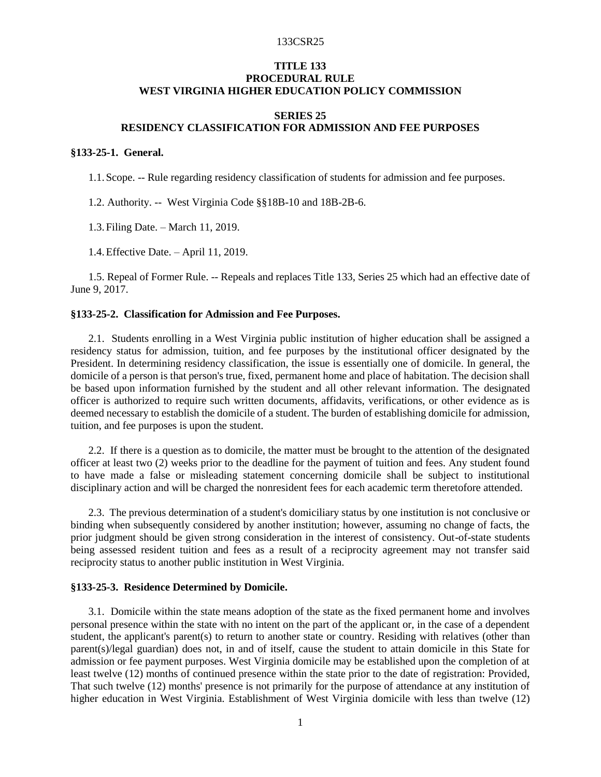#### 133CSR25

# **TITLE 133 PROCEDURAL RULE WEST VIRGINIA HIGHER EDUCATION POLICY COMMISSION**

# **SERIES 25 RESIDENCY CLASSIFICATION FOR ADMISSION AND FEE PURPOSES**

### **§133-25-1. General.**

1.1.Scope. -- Rule regarding residency classification of students for admission and fee purposes.

1.2. Authority. -- West Virginia Code §§18B-10 and 18B-2B-6.

1.3.Filing Date. – March 11, 2019.

1.4.Effective Date. – April 11, 2019.

1.5. Repeal of Former Rule. -- Repeals and replaces Title 133, Series 25 which had an effective date of June 9, 2017.

# **§133-25-2. Classification for Admission and Fee Purposes.**

2.1. Students enrolling in a West Virginia public institution of higher education shall be assigned a residency status for admission, tuition, and fee purposes by the institutional officer designated by the President. In determining residency classification, the issue is essentially one of domicile. In general, the domicile of a person is that person's true, fixed, permanent home and place of habitation. The decision shall be based upon information furnished by the student and all other relevant information. The designated officer is authorized to require such written documents, affidavits, verifications, or other evidence as is deemed necessary to establish the domicile of a student. The burden of establishing domicile for admission, tuition, and fee purposes is upon the student.

2.2. If there is a question as to domicile, the matter must be brought to the attention of the designated officer at least two (2) weeks prior to the deadline for the payment of tuition and fees. Any student found to have made a false or misleading statement concerning domicile shall be subject to institutional disciplinary action and will be charged the nonresident fees for each academic term theretofore attended.

2.3. The previous determination of a student's domiciliary status by one institution is not conclusive or binding when subsequently considered by another institution; however, assuming no change of facts, the prior judgment should be given strong consideration in the interest of consistency. Out-of-state students being assessed resident tuition and fees as a result of a reciprocity agreement may not transfer said reciprocity status to another public institution in West Virginia.

#### **§133-25-3. Residence Determined by Domicile.**

3.1. Domicile within the state means adoption of the state as the fixed permanent home and involves personal presence within the state with no intent on the part of the applicant or, in the case of a dependent student, the applicant's parent(s) to return to another state or country. Residing with relatives (other than parent(s)/legal guardian) does not, in and of itself, cause the student to attain domicile in this State for admission or fee payment purposes. West Virginia domicile may be established upon the completion of at least twelve (12) months of continued presence within the state prior to the date of registration: Provided, That such twelve (12) months' presence is not primarily for the purpose of attendance at any institution of higher education in West Virginia. Establishment of West Virginia domicile with less than twelve (12)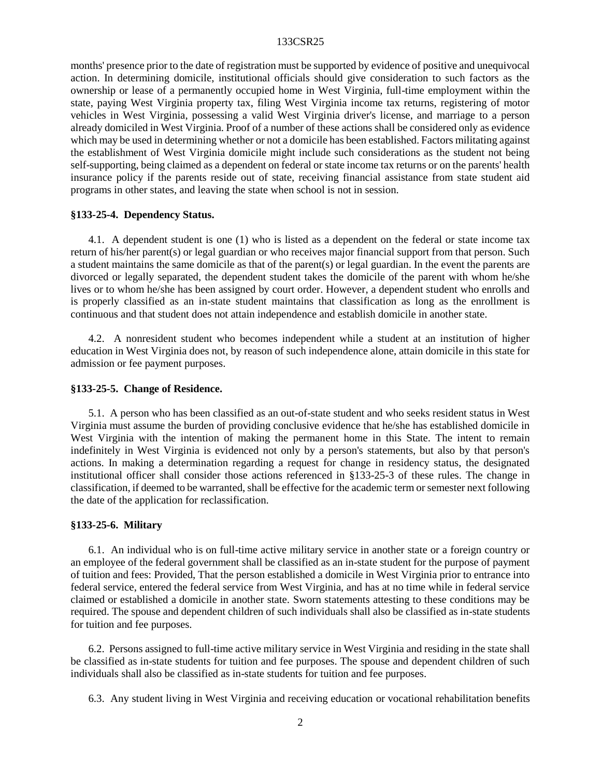#### 133CSR25

months' presence prior to the date of registration must be supported by evidence of positive and unequivocal action. In determining domicile, institutional officials should give consideration to such factors as the ownership or lease of a permanently occupied home in West Virginia, full-time employment within the state, paying West Virginia property tax, filing West Virginia income tax returns, registering of motor vehicles in West Virginia, possessing a valid West Virginia driver's license, and marriage to a person already domiciled in West Virginia. Proof of a number of these actions shall be considered only as evidence which may be used in determining whether or not a domicile has been established. Factors militating against the establishment of West Virginia domicile might include such considerations as the student not being self-supporting, being claimed as a dependent on federal or state income tax returns or on the parents' health insurance policy if the parents reside out of state, receiving financial assistance from state student aid programs in other states, and leaving the state when school is not in session.

### **§133-25-4. Dependency Status.**

4.1. A dependent student is one (1) who is listed as a dependent on the federal or state income tax return of his/her parent(s) or legal guardian or who receives major financial support from that person. Such a student maintains the same domicile as that of the parent(s) or legal guardian. In the event the parents are divorced or legally separated, the dependent student takes the domicile of the parent with whom he/she lives or to whom he/she has been assigned by court order. However, a dependent student who enrolls and is properly classified as an in-state student maintains that classification as long as the enrollment is continuous and that student does not attain independence and establish domicile in another state.

4.2. A nonresident student who becomes independent while a student at an institution of higher education in West Virginia does not, by reason of such independence alone, attain domicile in this state for admission or fee payment purposes.

### **§133-25-5. Change of Residence.**

5.1. A person who has been classified as an out-of-state student and who seeks resident status in West Virginia must assume the burden of providing conclusive evidence that he/she has established domicile in West Virginia with the intention of making the permanent home in this State. The intent to remain indefinitely in West Virginia is evidenced not only by a person's statements, but also by that person's actions. In making a determination regarding a request for change in residency status, the designated institutional officer shall consider those actions referenced in §133-25-3 of these rules. The change in classification, if deemed to be warranted, shall be effective for the academic term or semester next following the date of the application for reclassification.

#### **§133-25-6. Military**

6.1. An individual who is on full-time active military service in another state or a foreign country or an employee of the federal government shall be classified as an in-state student for the purpose of payment of tuition and fees: Provided, That the person established a domicile in West Virginia prior to entrance into federal service, entered the federal service from West Virginia, and has at no time while in federal service claimed or established a domicile in another state. Sworn statements attesting to these conditions may be required. The spouse and dependent children of such individuals shall also be classified as in-state students for tuition and fee purposes.

6.2. Persons assigned to full-time active military service in West Virginia and residing in the state shall be classified as in-state students for tuition and fee purposes. The spouse and dependent children of such individuals shall also be classified as in-state students for tuition and fee purposes.

6.3. Any student living in West Virginia and receiving education or vocational rehabilitation benefits